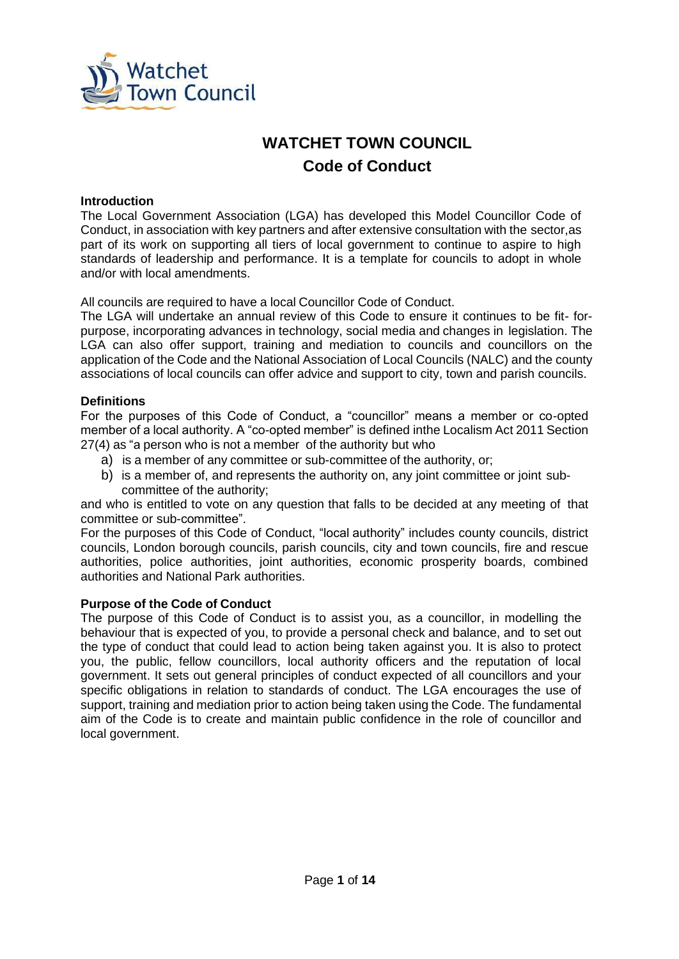

# **WATCHET TOWN COUNCIL Code of Conduct**

#### **Introduction**

The Local Government Association (LGA) has developed this Model Councillor Code of Conduct, in association with key partners and after extensive consultation with the sector,as part of its work on supporting all tiers of local government to continue to aspire to high standards of leadership and performance. It is a template for councils to adopt in whole and/or with local amendments.

All councils are required to have a local Councillor Code of Conduct.

The LGA will undertake an annual review of this Code to ensure it continues to be fit- forpurpose, incorporating advances in technology, social media and changes in legislation. The LGA can also offer support, training and mediation to councils and councillors on the application of the Code and the National Association of Local Councils (NALC) and the county associations of local councils can offer advice and support to city, town and parish councils.

#### **Definitions**

For the purposes of this Code of Conduct, a "councillor" means a member or co-opted member of a local authority. A "co-opted member" is defined inthe Localism Act 2011 Section 27(4) as "a person who is not a member of the authority but who

- a) is a member of any committee or sub-committee of the authority, or;
- b) is a member of, and represents the authority on, any joint committee or joint subcommittee of the authority;

and who is entitled to vote on any question that falls to be decided at any meeting of that committee or sub-committee".

For the purposes of this Code of Conduct, "local authority" includes county councils, district councils, London borough councils, parish councils, city and town councils, fire and rescue authorities, police authorities, joint authorities, economic prosperity boards, combined authorities and National Park authorities.

#### **Purpose of the Code of Conduct**

The purpose of this Code of Conduct is to assist you, as a councillor, in modelling the behaviour that is expected of you, to provide a personal check and balance, and to set out the type of conduct that could lead to action being taken against you. It is also to protect you, the public, fellow councillors, local authority officers and the reputation of local government. It sets out general principles of conduct expected of all councillors and your specific obligations in relation to standards of conduct. The LGA encourages the use of support, training and mediation prior to action being taken using the Code. The fundamental aim of the Code is to create and maintain public confidence in the role of councillor and local government.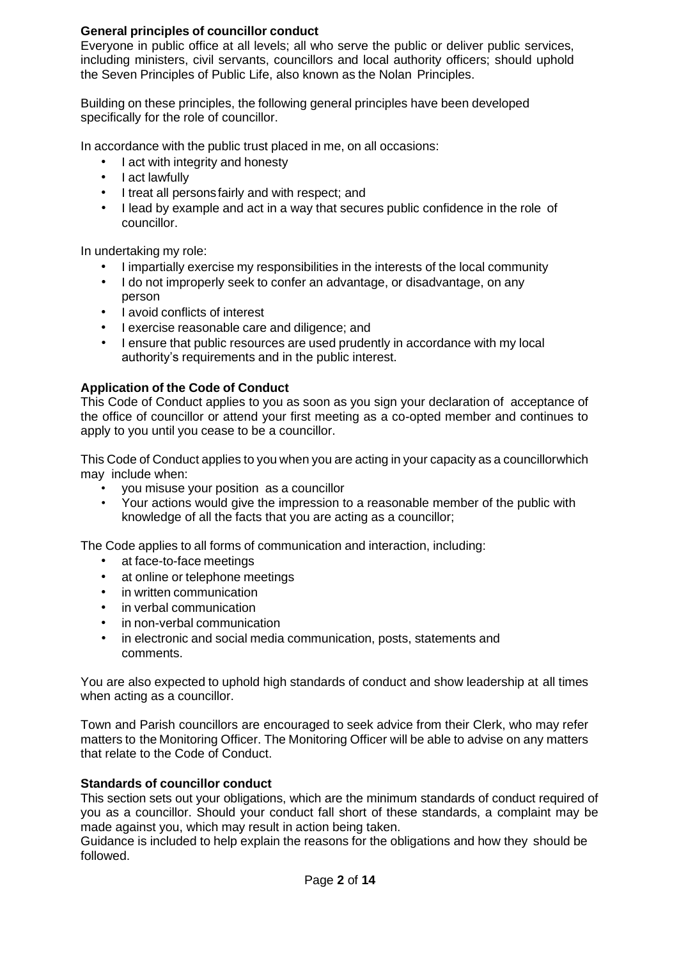### **General principles of councillor conduct**

Everyone in public office at all levels; all who serve the public or deliver public services, including ministers, civil servants, councillors and local authority officers; should uphold the Seven [Principles](https://www.gov.uk/government/publications/the-7-principles-of-public-life/the-7-principles-of-public-life--2) of Public Lif[e, a](https://www.gov.uk/government/publications/the-7-principles-of-public-life/the-7-principles-of-public-life--2)lso known as the Nolan Principles.

Building on these principles, the following general principles have been developed specifically for the role of councillor.

In accordance with the public trust placed in me, on all occasions:

- I act with integrity and honesty
- I act lawfully
- I treat all personsfairly and with respect; and
- I lead by example and act in a way that secures public confidence in the role of councillor.

In undertaking my role:

- I impartially exercise my responsibilities in the interests of the local community
- I do not improperly seek to confer an advantage, or disadvantage, on any person
- I avoid conflicts of interest
- I exercise reasonable care and diligence; and
- I ensure that public resources are used prudently in accordance with my local authority's requirements and in the public interest.

### **Application of the Code of Conduct**

This Code of Conduct applies to you as soon as you sign your declaration of acceptance of the office of councillor or attend your first meeting as a co-opted member and continues to apply to you until you cease to be a councillor.

This Code of Conduct applies to you when you are acting in your capacity as a councillorwhich may include when:

- you misuse your position as a councillor<br>• Your actions would give the impression to
- Your actions would give the impression to a reasonable member of the public with knowledge of all the facts that you are acting as a councillor;

The Code applies to all forms of communication and interaction, including:

- at face-to-face meetings
- at online or telephone meetings
- in written communication
- in verbal communication
- in non-verbal communication
- in electronic and social media communication, posts, statements and comments.

You are also expected to uphold high standards of conduct and show leadership at all times when acting as a councillor.

Town and Parish councillors are encouraged to seek advice from their Clerk, who may refer matters to the Monitoring Officer. The Monitoring Officer will be able to advise on any matters that relate to the Code of Conduct.

#### **Standards of councillor conduct**

This section sets out your obligations, which are the minimum standards of conduct required of you as a councillor. Should your conduct fall short of these standards, a complaint may be made against you, which may result in action being taken.

Guidance is included to help explain the reasons for the obligations and how they should be followed.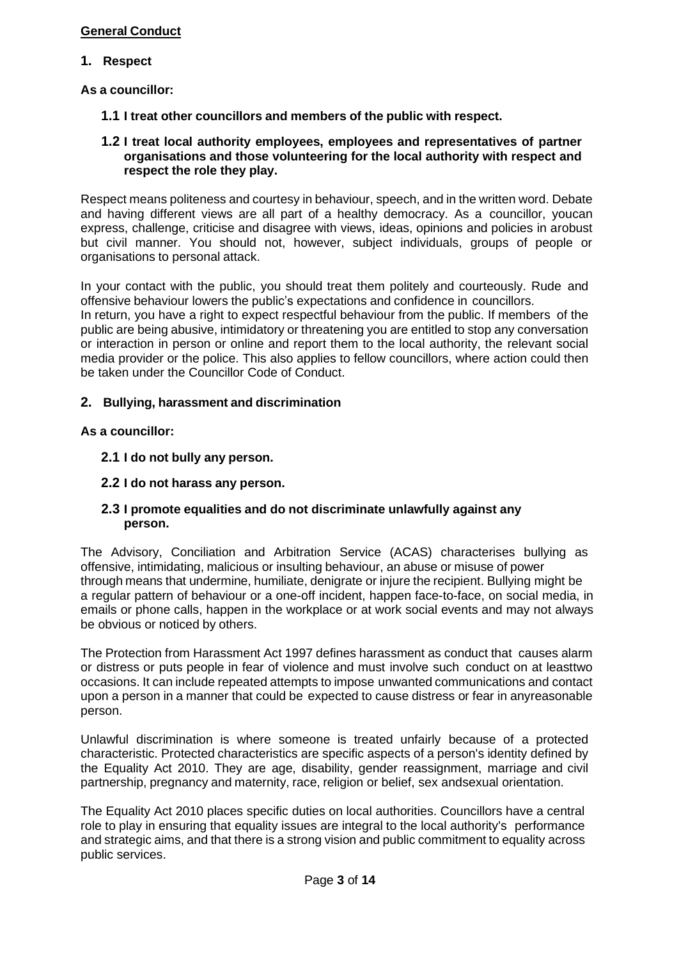### **General Conduct**

### **1. Respect**

**As a councillor:**

- **1.1 I treat other councillors and members of the public with respect.**
- **1.2 I treat local authority employees, employees and representatives of partner organisations and those volunteering for the local authority with respect and respect the role they play.**

Respect means politeness and courtesy in behaviour, speech, and in the written word. Debate and having different views are all part of a healthy democracy. As a councillor, youcan express, challenge, criticise and disagree with views, ideas, opinions and policies in arobust but civil manner. You should not, however, subject individuals, groups of people or organisations to personal attack.

In your contact with the public, you should treat them politely and courteously. Rude and offensive behaviour lowers the public's expectations and confidence in councillors. In return, you have a right to expect respectful behaviour from the public. If members of the public are being abusive, intimidatory or threatening you are entitled to stop any conversation or interaction in person or online and report them to the local authority, the relevant social media provider or the police. This also applies to fellow councillors, where action could then be taken under the Councillor Code of Conduct.

### **2. Bullying, harassment and discrimination**

### **As a councillor:**

- **2.1 I do not bully any person.**
- **2.2 I do not harass any person.**

### **2.3 I promote equalities and do not discriminate unlawfully against any person.**

The Advisory, Conciliation and Arbitration Service (ACAS) characterises bullying as offensive, intimidating, malicious or insulting behaviour, an abuse or misuse of power through means that undermine, humiliate, denigrate or injure the recipient. Bullying might be a regular pattern of behaviour or a one-off incident, happen face-to-face, on social media, in emails or phone calls, happen in the workplace or at work social events and may not always be obvious or noticed by others.

The Protection from Harassment Act 1997 defines harassment as conduct that causes alarm or distress or puts people in fear of violence and must involve such conduct on at leasttwo occasions. It can include repeated attempts to impose unwanted communications and contact upon a person in a manner that could be expected to cause distress or fear in anyreasonable person.

Unlawful discrimination is where someone is treated unfairly because of a protected characteristic. Protected characteristics are specific aspects of a person's identity defined by the Equality Act 2010. They are age, disability, gender reassignment, marriage and civil partnership, pregnancy and maternity, race, religion or belief, sex andsexual orientation.

The Equality Act 2010 places specific duties on local authorities. Councillors have a central role to play in ensuring that equality issues are integral to the local authority's performance and strategic aims, and that there is a strong vision and public commitment to equality across public services.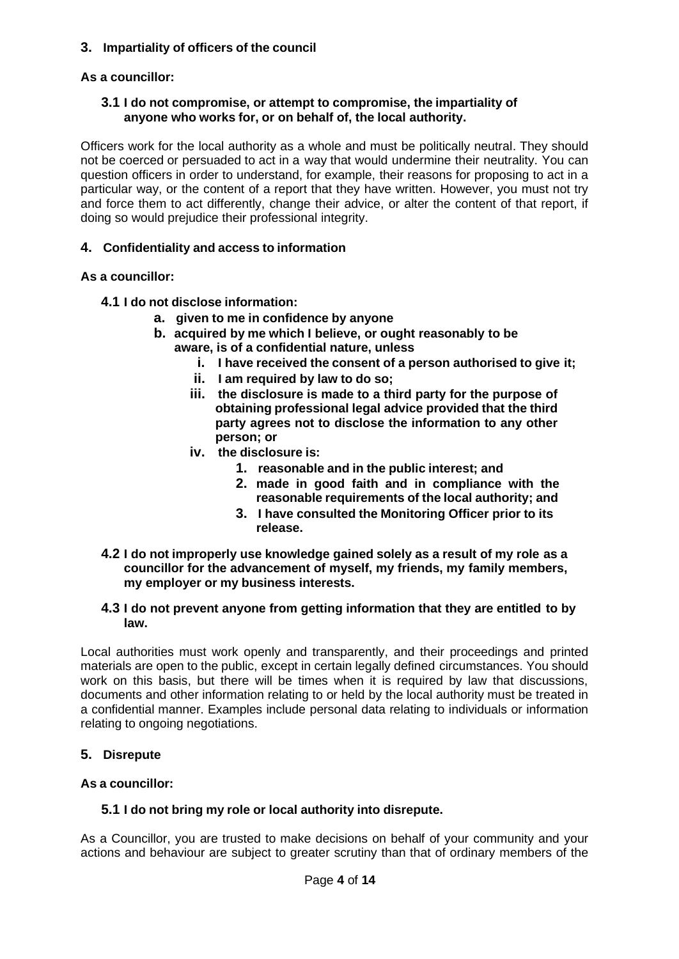### **3. Impartiality of officers of the council**

### **As a councillor:**

#### **3.1 I do not compromise, or attempt to compromise, the impartiality of anyone who works for, or on behalf of, the local authority.**

Officers work for the local authority as a whole and must be politically neutral. They should not be coerced or persuaded to act in a way that would undermine their neutrality. You can question officers in order to understand, for example, their reasons for proposing to act in a particular way, or the content of a report that they have written. However, you must not try and force them to act differently, change their advice, or alter the content of that report, if doing so would prejudice their professional integrity.

### **4. Confidentiality and access to information**

#### **As a councillor:**

- **4.1 I do not disclose information:**
	- **a. given to me in confidence by anyone**
	- **b. acquired by me which I believe, or ought reasonably to be aware, is of a confidential nature, unless**
		- **i. I have received the consent of a person authorised to give it;**
		- **ii. I am required by law to do so;**
		- **iii. the disclosure is made to a third party for the purpose of obtaining professional legal advice provided that the third party agrees not to disclose the information to any other person; or**
		- **iv. the disclosure is:**
			- **1. reasonable and in the public interest; and**
			- **2. made in good faith and in compliance with the reasonable requirements of the local authority; and**
			- **3. I have consulted the Monitoring Officer prior to its release.**
- **4.2 I do not improperly use knowledge gained solely as a result of my role as a councillor for the advancement of myself, my friends, my family members, my employer or my business interests.**

#### **4.3 I do not prevent anyone from getting information that they are entitled to by law.**

Local authorities must work openly and transparently, and their proceedings and printed materials are open to the public, except in certain legally defined circumstances. You should work on this basis, but there will be times when it is required by law that discussions, documents and other information relating to or held by the local authority must be treated in a confidential manner. Examples include personal data relating to individuals or information relating to ongoing negotiations.

### **5. Disrepute**

### **As a councillor:**

### **5.1 I do not bring my role or local authority into disrepute.**

As a Councillor, you are trusted to make decisions on behalf of your community and your actions and behaviour are subject to greater scrutiny than that of ordinary members of the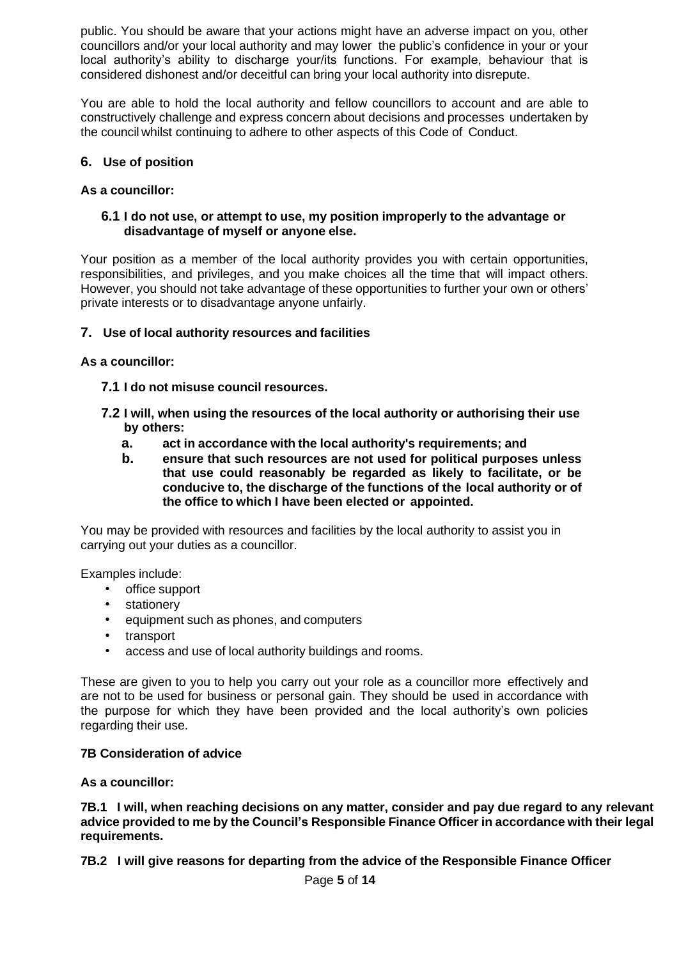public. You should be aware that your actions might have an adverse impact on you, other councillors and/or your local authority and may lower the public's confidence in your or your local authority's ability to discharge your/its functions. For example, behaviour that is considered dishonest and/or deceitful can bring your local authority into disrepute.

You are able to hold the local authority and fellow councillors to account and are able to constructively challenge and express concern about decisions and processes undertaken by the council whilst continuing to adhere to other aspects of this Code of Conduct.

### **6. Use of position**

### **As a councillor:**

#### **6.1 I do not use, or attempt to use, my position improperly to the advantage or disadvantage of myself or anyone else.**

Your position as a member of the local authority provides you with certain opportunities, responsibilities, and privileges, and you make choices all the time that will impact others. However, you should not take advantage of these opportunities to further your own or others' private interests or to disadvantage anyone unfairly.

### **7. Use of local authority resources and facilities**

**As a councillor:**

- **7.1 I do not misuse council resources.**
- **7.2 I will, when using the resources of the local authority or authorising their use by others:**
	- **a. act in accordance with the local authority's requirements; and**
	- **b. ensure that such resources are not used for political purposes unless that use could reasonably be regarded as likely to facilitate, or be conducive to, the discharge of the functions of the local authority or of the office to which I have been elected or appointed.**

You may be provided with resources and facilities by the local authority to assist you in carrying out your duties as a councillor.

Examples include:

- office support
- **stationery**
- equipment such as phones, and computers
- transport
- access and use of local authority buildings and rooms.

These are given to you to help you carry out your role as a councillor more effectively and are not to be used for business or personal gain. They should be used in accordance with the purpose for which they have been provided and the local authority's own policies regarding their use.

### **7B Consideration of advice**

**As a councillor:**

**7B.1 I will, when reaching decisions on any matter, consider and pay due regard to any relevant advice provided to me by the Council's Responsible Finance Officer in accordance with their legal requirements.**

**7B.2 I will give reasons for departing from the advice of the Responsible Finance Officer**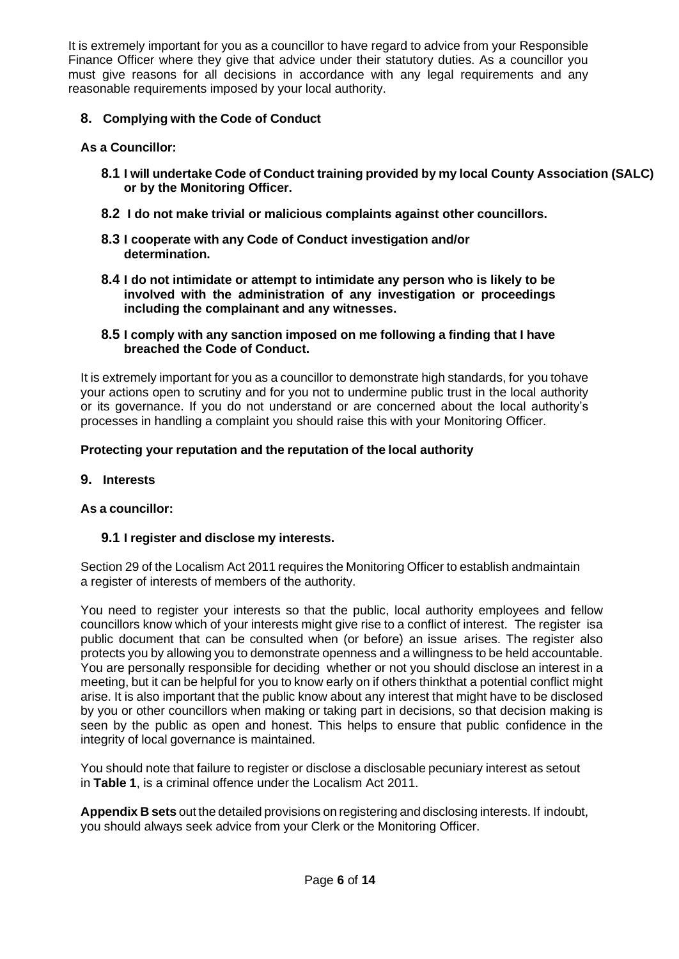It is extremely important for you as a councillor to have regard to advice from your Responsible Finance Officer where they give that advice under their statutory duties. As a councillor you must give reasons for all decisions in accordance with any legal requirements and any reasonable requirements imposed by your local authority.

### **8. Complying with the Code of Conduct**

### **As a Councillor:**

- **8.1 I will undertake Code of Conduct training provided by my local County Association (SALC) or by the Monitoring Officer.**
- **8.2 I do not make trivial or malicious complaints against other councillors.**
- **8.3 I cooperate with any Code of Conduct investigation and/or determination.**
- **8.4 I do not intimidate or attempt to intimidate any person who is likely to be involved with the administration of any investigation or proceedings including the complainant and any witnesses.**
- **8.5 I comply with any sanction imposed on me following a finding that I have breached the Code of Conduct.**

It is extremely important for you as a councillor to demonstrate high standards, for you tohave your actions open to scrutiny and for you not to undermine public trust in the local authority or its governance. If you do not understand or are concerned about the local authority's processes in handling a complaint you should raise this with your Monitoring Officer.

### **Protecting your reputation and the reputation of the local authority**

### **9. Interests**

### **As a councillor:**

### **9.1 I register and disclose my interests.**

Section 29 of the Localism Act 2011 requires the Monitoring Officer to establish andmaintain a register of interests of members of the authority.

You need to register your interests so that the public, local authority employees and fellow councillors know which of your interests might give rise to a conflict of interest. The register isa public document that can be consulted when (or before) an issue arises. The register also protects you by allowing you to demonstrate openness and a willingness to be held accountable. You are personally responsible for deciding whether or not you should disclose an interest in a meeting, but it can be helpful for you to know early on if others thinkthat a potential conflict might arise. It is also important that the public know about any interest that might have to be disclosed by you or other councillors when making or taking part in decisions, so that decision making is seen by the public as open and honest. This helps to ensure that public confidence in the integrity of local governance is maintained.

You should note that failure to register or disclose a disclosable pecuniary interest as setout in **Table 1**, is a criminal offence under the Localism Act 2011.

**Appendix B sets** out the detailed provisions on registering and disclosing interests. If indoubt, you should always seek advice from your Clerk or the Monitoring Officer.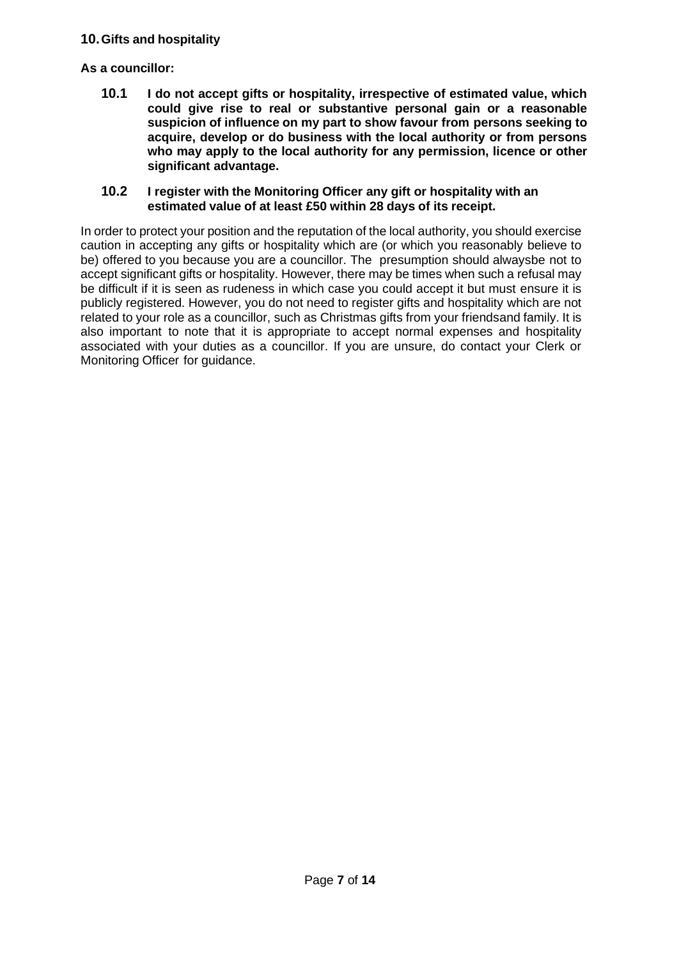### **10.Gifts and hospitality**

### **As a councillor:**

**10.1 I do not accept gifts or hospitality, irrespective of estimated value, which could give rise to real or substantive personal gain or a reasonable suspicion of influence on my part to show favour from persons seeking to acquire, develop or do business with the local authority or from persons who may apply to the local authority for any permission, licence or other significant advantage.**

#### **10.2 I register with the Monitoring Officer any gift or hospitality with an estimated value of at least £50 within 28 days of its receipt.**

In order to protect your position and the reputation of the local authority, you should exercise caution in accepting any gifts or hospitality which are (or which you reasonably believe to be) offered to you because you are a councillor. The presumption should alwaysbe not to accept significant gifts or hospitality. However, there may be times when such a refusal may be difficult if it is seen as rudeness in which case you could accept it but must ensure it is publicly registered. However, you do not need to register gifts and hospitality which are not related to your role as a councillor, such as Christmas gifts from your friendsand family. It is also important to note that it is appropriate to accept normal expenses and hospitality associated with your duties as a councillor. If you are unsure, do contact your Clerk or Monitoring Officer for guidance.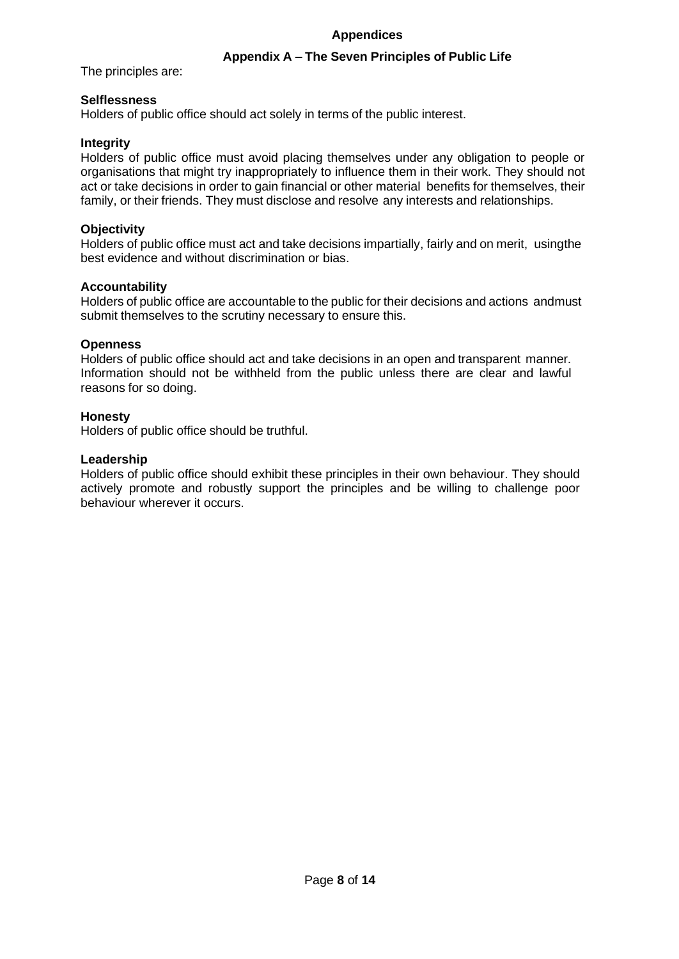#### **Appendices**

### **Appendix A – The Seven Principles of Public Life**

The principles are:

### **Selflessness**

Holders of public office should act solely in terms of the public interest.

### **Integrity**

Holders of public office must avoid placing themselves under any obligation to people or organisations that might try inappropriately to influence them in their work. They should not act or take decisions in order to gain financial or other material benefits for themselves, their family, or their friends. They must disclose and resolve any interests and relationships.

### **Objectivity**

Holders of public office must act and take decisions impartially, fairly and on merit, usingthe best evidence and without discrimination or bias.

### **Accountability**

Holders of public office are accountable to the public for their decisions and actions andmust submit themselves to the scrutiny necessary to ensure this.

#### **Openness**

Holders of public office should act and take decisions in an open and transparent manner. Information should not be withheld from the public unless there are clear and lawful reasons for so doing.

### **Honesty**

Holders of public office should be truthful.

#### **Leadership**

Holders of public office should exhibit these principles in their own behaviour. They should actively promote and robustly support the principles and be willing to challenge poor behaviour wherever it occurs.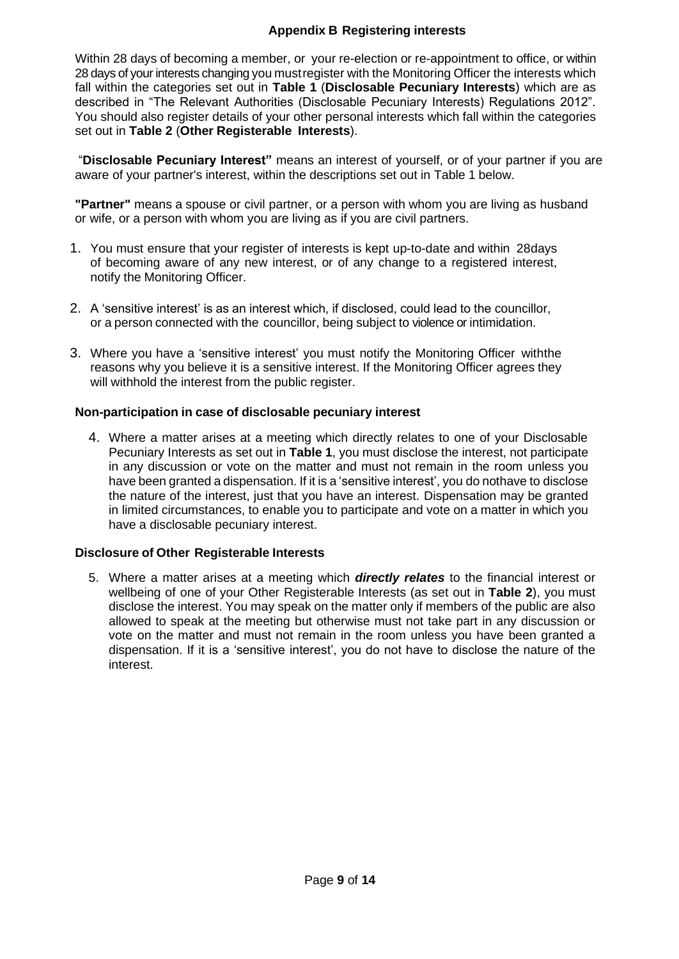### **Appendix B Registering interests**

Within 28 days of becoming a member, or your re-election or re-appointment to office, or within 28 days of your interests changing you must register with the Monitoring Officer the interests which fall within the categories set out in **Table 1** (**Disclosable Pecuniary Interests**) which are as described in "The Relevant Authorities (Disclosable Pecuniary Interests) Regulations 2012". You should also register details of your other personal interests which fall within the categories set out in **Table 2** (**Other Registerable Interests**).

"**Disclosable Pecuniary Interest"** means an interest of yourself, or of your partner if you are aware of your partner's interest, within the descriptions set out in Table 1 below.

**"Partner"** means a spouse or civil partner, or a person with whom you are living as husband or wife, or a person with whom you are living as if you are civil partners.

- 1. You must ensure that your register of interests is kept up-to-date and within 28days of becoming aware of any new interest, or of any change to a registered interest, notify the Monitoring Officer.
- 2. A 'sensitive interest' is as an interest which, if disclosed, could lead to the councillor, or a person connected with the councillor, being subject to violence or intimidation.
- 3. Where you have a 'sensitive interest' you must notify the Monitoring Officer withthe reasons why you believe it is a sensitive interest. If the Monitoring Officer agrees they will withhold the interest from the public register.

#### **Non-participation in case of disclosable pecuniary interest**

4. Where a matter arises at a meeting which directly relates to one of your Disclosable Pecuniary Interests as set out in **Table 1**, you must disclose the interest, not participate in any discussion or vote on the matter and must not remain in the room unless you have been granted a dispensation. If it is a 'sensitive interest', you do nothave to disclose the nature of the interest, just that you have an interest. Dispensation may be granted in limited circumstances, to enable you to participate and vote on a matter in which you have a disclosable pecuniary interest.

#### **Disclosure of Other Registerable Interests**

5. Where a matter arises at a meeting which *directly relates* to the financial interest or wellbeing of one of your Other Registerable Interests (as set out in **Table 2**), you must disclose the interest. You may speak on the matter only if members of the public are also allowed to speak at the meeting but otherwise must not take part in any discussion or vote on the matter and must not remain in the room unless you have been granted a dispensation. If it is a 'sensitive interest', you do not have to disclose the nature of the interest.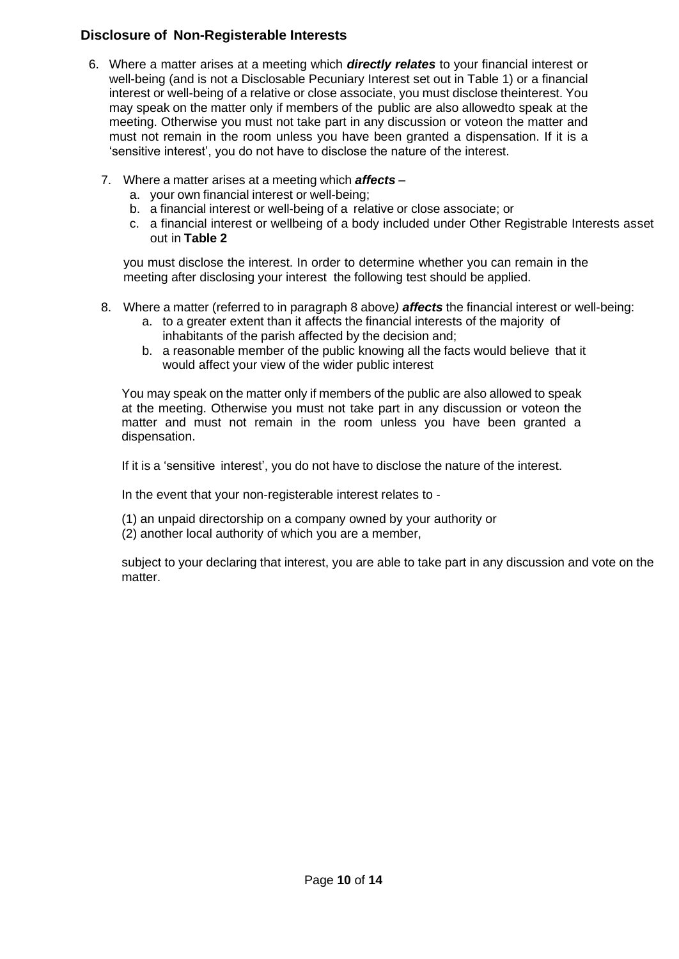### **Disclosure of Non-Registerable Interests**

- 6. Where a matter arises at a meeting which *directly relates* to your financial interest or well-being (and is not a Disclosable Pecuniary Interest set out in Table 1) or a financial interest or well-being of a relative or close associate, you must disclose theinterest. You may speak on the matter only if members of the public are also allowedto speak at the meeting. Otherwise you must not take part in any discussion or voteon the matter and must not remain in the room unless you have been granted a dispensation. If it is a 'sensitive interest', you do not have to disclose the nature of the interest.
	- 7. Where a matter arises at a meeting which *affects*
		- a. your own financial interest or well-being;
		- b. a financial interest or well-being of a relative or close associate; or
		- c. a financial interest or wellbeing of a body included under Other Registrable Interests asset out in **Table 2**

you must disclose the interest. In order to determine whether you can remain in the meeting after disclosing your interest the following test should be applied.

- 8. Where a matter (referred to in paragraph 8 above*) affects* the financial interest or well-being:
	- a. to a greater extent than it affects the financial interests of the majority of inhabitants of the parish affected by the decision and;
	- b. a reasonable member of the public knowing all the facts would believe that it would affect your view of the wider public interest

You may speak on the matter only if members of the public are also allowed to speak at the meeting. Otherwise you must not take part in any discussion or voteon the matter and must not remain in the room unless you have been granted a dispensation.

If it is a 'sensitive interest', you do not have to disclose the nature of the interest.

In the event that your non-registerable interest relates to -

- (1) an unpaid directorship on a company owned by your authority or
- (2) another local authority of which you are a member,

subject to your declaring that interest, you are able to take part in any discussion and vote on the matter.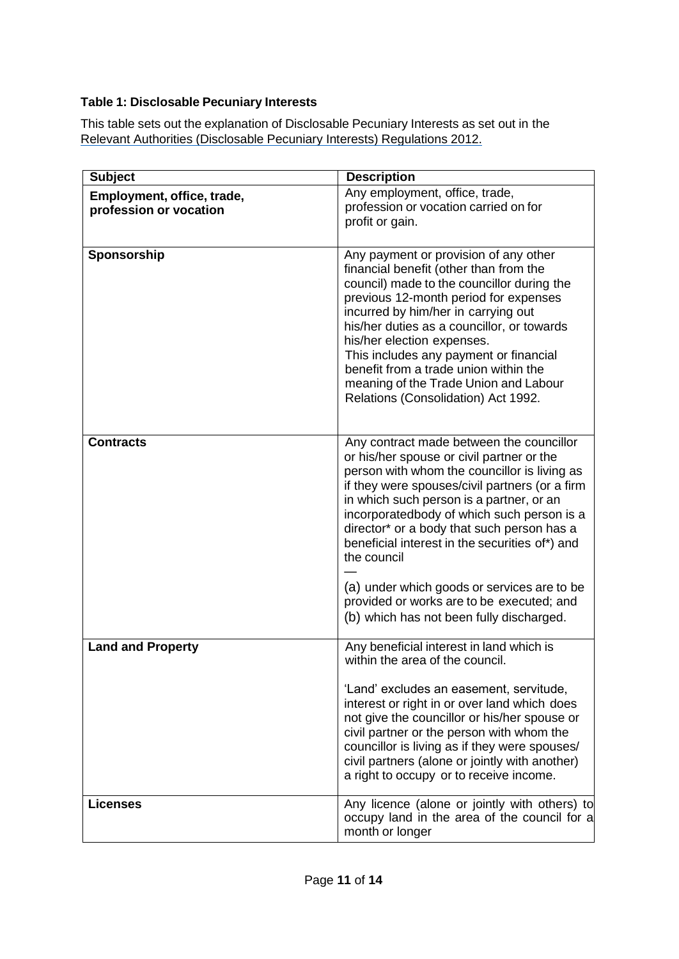### **Table 1: Disclosable Pecuniary Interests**

This table sets out the explanation of Disclosable Pecuniary Interests as set out in the Relevant Authorities [\(Disclosable](https://www.legislation.gov.uk/uksi/2012/1464/made) Pecuniary Interests) Regulations 201[2.](https://www.legislation.gov.uk/uksi/2012/1464/made)

| <b>Subject</b>                                       | <b>Description</b>                                                                                                                                                                                                                                                                                                                                                                                                                                           |
|------------------------------------------------------|--------------------------------------------------------------------------------------------------------------------------------------------------------------------------------------------------------------------------------------------------------------------------------------------------------------------------------------------------------------------------------------------------------------------------------------------------------------|
| Employment, office, trade,<br>profession or vocation | Any employment, office, trade,<br>profession or vocation carried on for<br>profit or gain.                                                                                                                                                                                                                                                                                                                                                                   |
| Sponsorship                                          | Any payment or provision of any other<br>financial benefit (other than from the<br>council) made to the councillor during the<br>previous 12-month period for expenses<br>incurred by him/her in carrying out<br>his/her duties as a councillor, or towards<br>his/her election expenses.<br>This includes any payment or financial<br>benefit from a trade union within the<br>meaning of the Trade Union and Labour<br>Relations (Consolidation) Act 1992. |
| <b>Contracts</b>                                     | Any contract made between the councillor<br>or his/her spouse or civil partner or the<br>person with whom the councillor is living as<br>if they were spouses/civil partners (or a firm<br>in which such person is a partner, or an<br>incorporatedbody of which such person is a<br>director* or a body that such person has a<br>beneficial interest in the securities of*) and<br>the council                                                             |
|                                                      | (a) under which goods or services are to be<br>provided or works are to be executed; and<br>(b) which has not been fully discharged.                                                                                                                                                                                                                                                                                                                         |
| <b>Land and Property</b>                             | Any beneficial interest in land which is<br>within the area of the council.<br>'Land' excludes an easement, servitude,<br>interest or right in or over land which does<br>not give the councillor or his/her spouse or<br>civil partner or the person with whom the<br>councillor is living as if they were spouses/<br>civil partners (alone or jointly with another)<br>a right to occupy or to receive income.                                            |
| <b>Licenses</b>                                      | Any licence (alone or jointly with others) to<br>occupy land in the area of the council for a<br>month or longer                                                                                                                                                                                                                                                                                                                                             |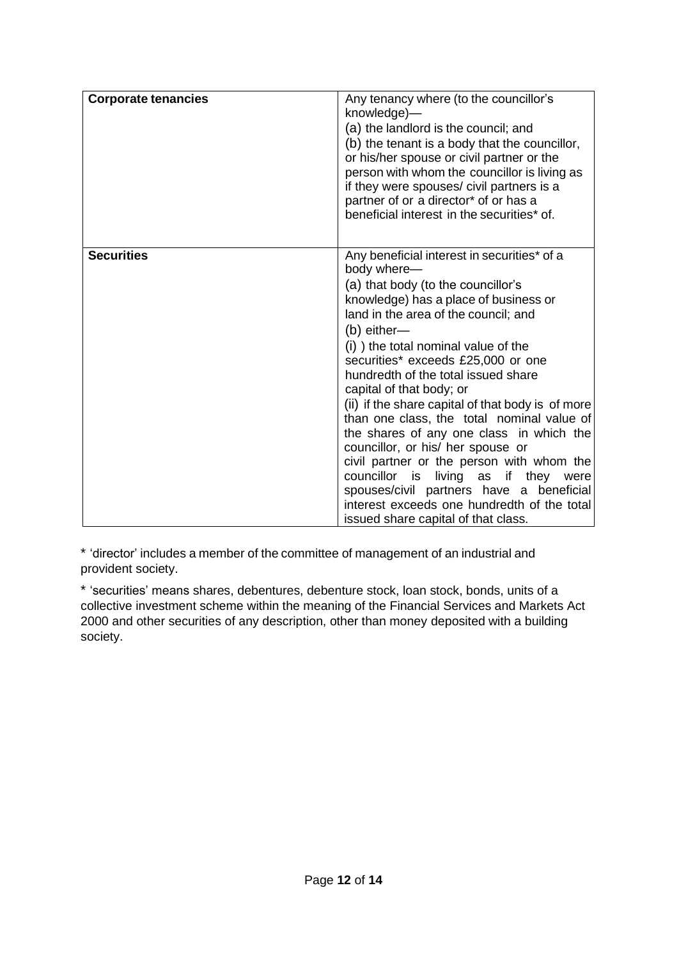| <b>Corporate tenancies</b> | Any tenancy where (to the councillor's<br>knowledge)—<br>(a) the landlord is the council; and<br>(b) the tenant is a body that the councillor,<br>or his/her spouse or civil partner or the<br>person with whom the councillor is living as<br>if they were spouses/ civil partners is a<br>partner of or a director* of or has a<br>beneficial interest in the securities* of.                                                                                                                                                                                                                                                                                                                                                                                         |
|----------------------------|-------------------------------------------------------------------------------------------------------------------------------------------------------------------------------------------------------------------------------------------------------------------------------------------------------------------------------------------------------------------------------------------------------------------------------------------------------------------------------------------------------------------------------------------------------------------------------------------------------------------------------------------------------------------------------------------------------------------------------------------------------------------------|
| <b>Securities</b>          | Any beneficial interest in securities* of a<br>body where-<br>(a) that body (to the councillor's<br>knowledge) has a place of business or<br>land in the area of the council; and<br>$(b)$ either-<br>(i) the total nominal value of the<br>securities* exceeds £25,000 or one<br>hundredth of the total issued share<br>capital of that body; or<br>(ii) if the share capital of that body is of more<br>than one class, the total nominal value of<br>the shares of any one class in which the<br>councillor, or his/ her spouse or<br>civil partner or the person with whom the<br>councillor<br>living as<br>if they were<br>is i<br>spouses/civil partners have a beneficial<br>interest exceeds one hundredth of the total<br>issued share capital of that class. |

\* 'director' includes a member of the committee of management of an industrial and provident society.

\* 'securities' means shares, debentures, debenture stock, loan stock, bonds, units of a collective investment scheme within the meaning of the Financial Services and Markets Act 2000 and other securities of any description, other than money deposited with a building society.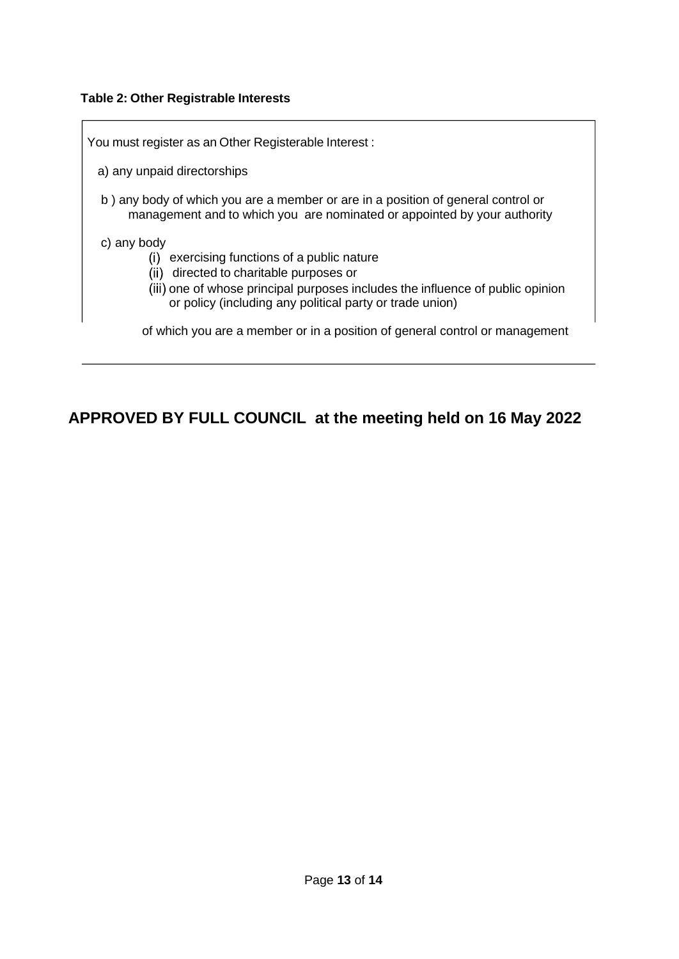### **Table 2: Other Registrable Interests**

of which you are a member or in a position of general control or management You must register as an Other Registerable Interest : a) any unpaid directorships b ) any body of which you are a member or are in a position of general control or management and to which you are nominated or appointed by your authority c) any body (i) exercising functions of a public nature (ii) directed to charitable purposes or (iii) one of whose principal purposes includes the influence of public opinion or policy (including any political party or trade union)

## **APPROVED BY FULL COUNCIL at the meeting held on 16 May 2022**